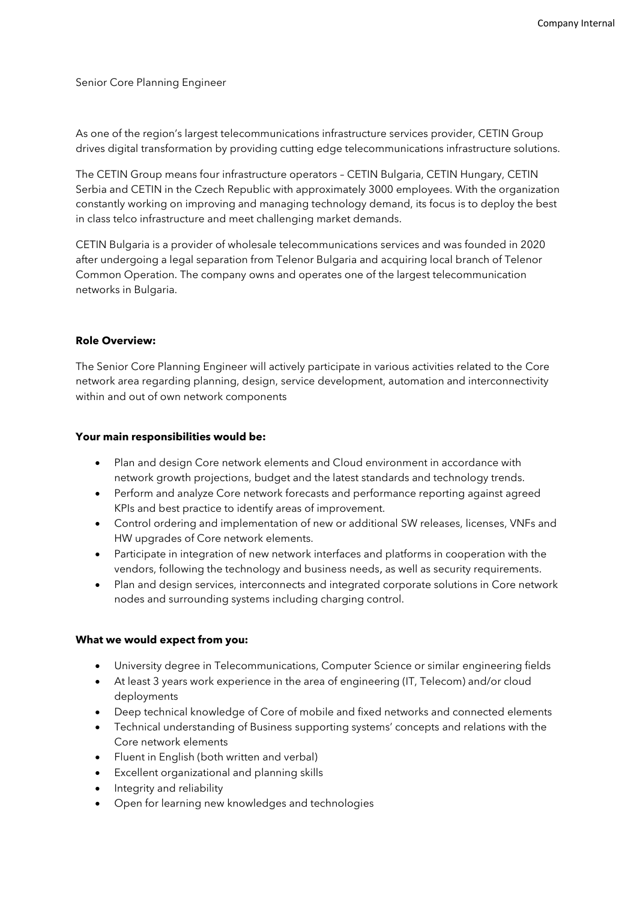Senior Core Planning Engineer

As one of the region's largest telecommunications infrastructure services provider, CETIN Group drives digital transformation by providing cutting edge telecommunications infrastructure solutions.

The CETIN Group means four infrastructure operators – CETIN Bulgaria, CETIN Hungary, CETIN Serbia and CETIN in the Czech Republic with approximately 3000 employees. With the organization constantly working on improving and managing technology demand, its focus is to deploy the best in class telco infrastructure and meet challenging market demands.

CETIN Bulgaria is a provider of wholesale telecommunications services and was founded in 2020 after undergoing a legal separation from Telenor Bulgaria and acquiring local branch of Telenor Common Operation. The company owns and operates one of the largest telecommunication networks in Bulgaria.

#### **Role Overview:**

The Senior Core Planning Engineer will actively participate in various activities related to the Core network area regarding planning, design, service development, automation and interconnectivity within and out of own network components

#### **Your main responsibilities would be:**

- Plan and design Core network elements and Cloud environment in accordance with network growth projections, budget and the latest standards and technology trends.
- Perform and analyze Core network forecasts and performance reporting against agreed KPIs and best practice to identify areas of improvement.
- Control ordering and implementation of new or additional SW releases, licenses, VNFs and HW upgrades of Core network elements.
- Participate in integration of new network interfaces and platforms in cooperation with the vendors, following the technology and business needs, as well as security requirements.
- Plan and design services, interconnects and integrated corporate solutions in Core network nodes and surrounding systems including charging control.

## **What we would expect from you:**

- University degree in Telecommunications, Computer Science or similar engineering fields
- At least 3 years work experience in the area of engineering (IT, Telecom) and/or cloud deployments
- Deep technical knowledge of Core of mobile and fixed networks and connected elements
- Technical understanding of Business supporting systems' concepts and relations with the Core network elements
- Fluent in English (both written and verbal)
- Excellent organizational and planning skills
- Integrity and reliability
- Open for learning new knowledges and technologies